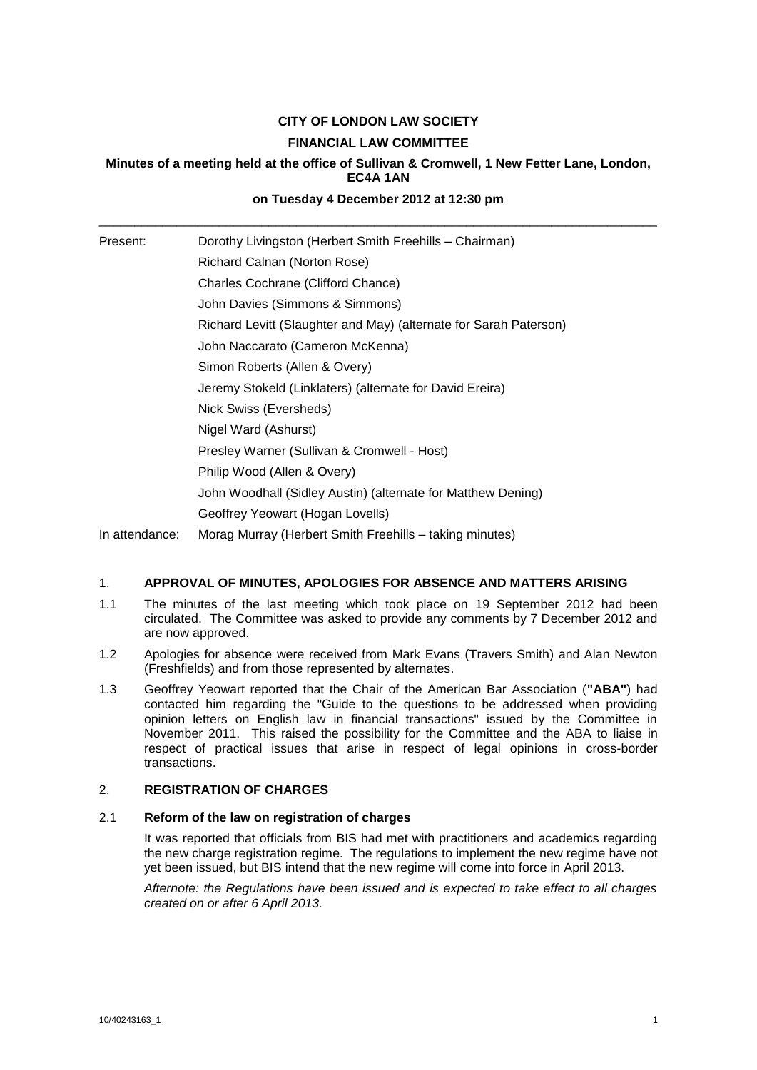# **CITY OF LONDON LAW SOCIETY FINANCIAL LAW COMMITTEE**

# **Minutes of a meeting held at the office of Sullivan & Cromwell, 1 New Fetter Lane, London, EC4A 1AN**

# **on Tuesday 4 December 2012 at 12:30 pm** \_\_\_\_\_\_\_\_\_\_\_\_\_\_\_\_\_\_\_\_\_\_\_\_\_\_\_\_\_\_\_\_\_\_\_\_\_\_\_\_\_\_\_\_\_\_\_\_\_\_\_\_\_\_\_\_\_\_\_\_\_\_\_\_\_\_\_\_\_\_\_\_\_\_\_\_\_\_\_

| Present:       | Dorothy Livingston (Herbert Smith Freehills - Chairman)           |
|----------------|-------------------------------------------------------------------|
|                | Richard Calnan (Norton Rose)                                      |
|                | <b>Charles Cochrane (Clifford Chance)</b>                         |
|                | John Davies (Simmons & Simmons)                                   |
|                | Richard Levitt (Slaughter and May) (alternate for Sarah Paterson) |
|                | John Naccarato (Cameron McKenna)                                  |
|                | Simon Roberts (Allen & Overy)                                     |
|                | Jeremy Stokeld (Linklaters) (alternate for David Ereira)          |
|                | Nick Swiss (Eversheds)                                            |
|                | Nigel Ward (Ashurst)                                              |
|                | Presley Warner (Sullivan & Cromwell - Host)                       |
|                | Philip Wood (Allen & Overy)                                       |
|                | John Woodhall (Sidley Austin) (alternate for Matthew Dening)      |
|                | Geoffrey Yeowart (Hogan Lovells)                                  |
| In attendance: | Morag Murray (Herbert Smith Freehills – taking minutes)           |

# 1. **APPROVAL OF MINUTES, APOLOGIES FOR ABSENCE AND MATTERS ARISING**

- 1.1 The minutes of the last meeting which took place on 19 September 2012 had been circulated. The Committee was asked to provide any comments by 7 December 2012 and are now approved.
- 1.2 Apologies for absence were received from Mark Evans (Travers Smith) and Alan Newton (Freshfields) and from those represented by alternates.
- 1.3 Geoffrey Yeowart reported that the Chair of the American Bar Association (**"ABA"**) had contacted him regarding the "Guide to the questions to be addressed when providing opinion letters on English law in financial transactions" issued by the Committee in November 2011. This raised the possibility for the Committee and the ABA to liaise in respect of practical issues that arise in respect of legal opinions in cross-border transactions.

# 2. **REGISTRATION OF CHARGES**

## 2.1 **Reform of the law on registration of charges**

It was reported that officials from BIS had met with practitioners and academics regarding the new charge registration regime. The regulations to implement the new regime have not yet been issued, but BIS intend that the new regime will come into force in April 2013.

*Afternote: the Regulations have been issued and is expected to take effect to all charges created on or after 6 April 2013.*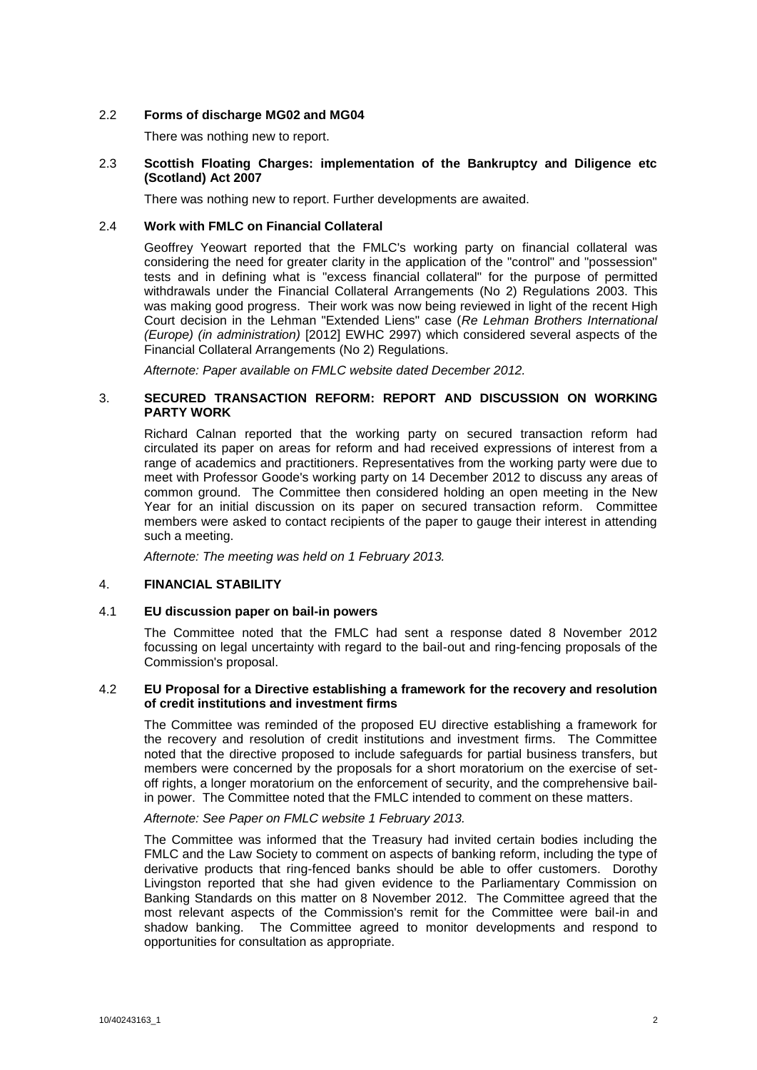# 2.2 **Forms of discharge MG02 and MG04**

There was nothing new to report.

# 2.3 **Scottish Floating Charges: implementation of the Bankruptcy and Diligence etc (Scotland) Act 2007**

There was nothing new to report. Further developments are awaited.

## 2.4 **Work with FMLC on Financial Collateral**

Geoffrey Yeowart reported that the FMLC's working party on financial collateral was considering the need for greater clarity in the application of the "control" and "possession" tests and in defining what is "excess financial collateral" for the purpose of permitted withdrawals under the Financial Collateral Arrangements (No 2) Regulations 2003. This was making good progress. Their work was now being reviewed in light of the recent High Court decision in the Lehman "Extended Liens" case (*Re Lehman Brothers International (Europe) (in administration)* [2012] EWHC 2997) which considered several aspects of the Financial Collateral Arrangements (No 2) Regulations.

*Afternote: Paper available on FMLC website dated December 2012.*

# 3. **SECURED TRANSACTION REFORM: REPORT AND DISCUSSION ON WORKING PARTY WORK**

Richard Calnan reported that the working party on secured transaction reform had circulated its paper on areas for reform and had received expressions of interest from a range of academics and practitioners. Representatives from the working party were due to meet with Professor Goode's working party on 14 December 2012 to discuss any areas of common ground. The Committee then considered holding an open meeting in the New Year for an initial discussion on its paper on secured transaction reform. Committee members were asked to contact recipients of the paper to gauge their interest in attending such a meeting.

*Afternote: The meeting was held on 1 February 2013.*

## 4. **FINANCIAL STABILITY**

## 4.1 **EU discussion paper on bail-in powers**

The Committee noted that the FMLC had sent a response dated 8 November 2012 focussing on legal uncertainty with regard to the bail-out and ring-fencing proposals of the Commission's proposal.

## 4.2 **EU Proposal for a Directive establishing a framework for the recovery and resolution of credit institutions and investment firms**

The Committee was reminded of the proposed EU directive establishing a framework for the recovery and resolution of credit institutions and investment firms. The Committee noted that the directive proposed to include safeguards for partial business transfers, but members were concerned by the proposals for a short moratorium on the exercise of setoff rights, a longer moratorium on the enforcement of security, and the comprehensive bailin power. The Committee noted that the FMLC intended to comment on these matters.

# *Afternote: See Paper on FMLC website 1 February 2013.*

The Committee was informed that the Treasury had invited certain bodies including the FMLC and the Law Society to comment on aspects of banking reform, including the type of derivative products that ring-fenced banks should be able to offer customers. Dorothy Livingston reported that she had given evidence to the Parliamentary Commission on Banking Standards on this matter on 8 November 2012. The Committee agreed that the most relevant aspects of the Commission's remit for the Committee were bail-in and shadow banking. The Committee agreed to monitor developments and respond to opportunities for consultation as appropriate.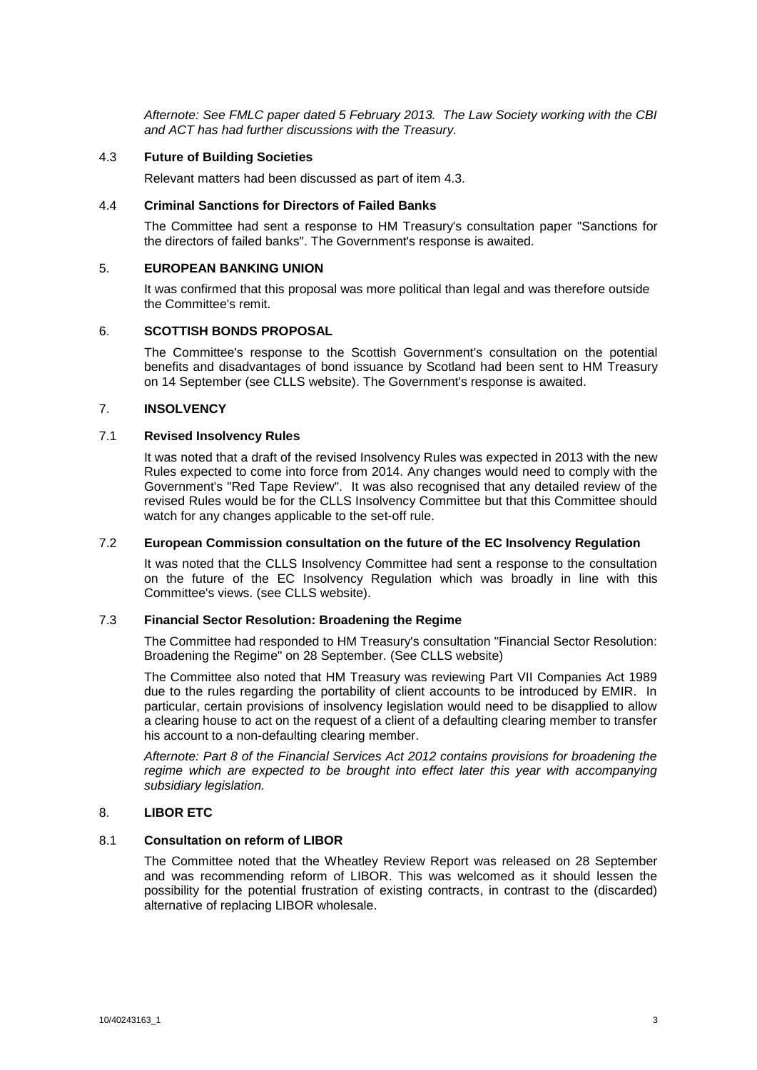*Afternote: See FMLC paper dated 5 February 2013. The Law Society working with the CBI and ACT has had further discussions with the Treasury.*

## 4.3 **Future of Building Societies**

Relevant matters had been discussed as part of item 4.3.

# 4.4 **Criminal Sanctions for Directors of Failed Banks**

The Committee had sent a response to HM Treasury's consultation paper "Sanctions for the directors of failed banks". The Government's response is awaited.

#### 5. **EUROPEAN BANKING UNION**

It was confirmed that this proposal was more political than legal and was therefore outside the Committee's remit.

# 6. **SCOTTISH BONDS PROPOSAL**

The Committee's response to the Scottish Government's consultation on the potential benefits and disadvantages of bond issuance by Scotland had been sent to HM Treasury on 14 September (see CLLS website). The Government's response is awaited.

# 7. **INSOLVENCY**

#### 7.1 **Revised Insolvency Rules**

It was noted that a draft of the revised Insolvency Rules was expected in 2013 with the new Rules expected to come into force from 2014. Any changes would need to comply with the Government's "Red Tape Review". It was also recognised that any detailed review of the revised Rules would be for the CLLS Insolvency Committee but that this Committee should watch for any changes applicable to the set-off rule.

#### 7.2 **European Commission consultation on the future of the EC Insolvency Regulation**

It was noted that the CLLS Insolvency Committee had sent a response to the consultation on the future of the EC Insolvency Regulation which was broadly in line with this Committee's views. (see CLLS website).

#### 7.3 **Financial Sector Resolution: Broadening the Regime**

The Committee had responded to HM Treasury's consultation "Financial Sector Resolution: Broadening the Regime" on 28 September. (See CLLS website)

The Committee also noted that HM Treasury was reviewing Part VII Companies Act 1989 due to the rules regarding the portability of client accounts to be introduced by EMIR. In particular, certain provisions of insolvency legislation would need to be disapplied to allow a clearing house to act on the request of a client of a defaulting clearing member to transfer his account to a non-defaulting clearing member.

*Afternote: Part 8 of the Financial Services Act 2012 contains provisions for broadening the regime which are expected to be brought into effect later this year with accompanying subsidiary legislation.*

# 8. **LIBOR ETC**

## 8.1 **Consultation on reform of LIBOR**

The Committee noted that the Wheatley Review Report was released on 28 September and was recommending reform of LIBOR. This was welcomed as it should lessen the possibility for the potential frustration of existing contracts, in contrast to the (discarded) alternative of replacing LIBOR wholesale.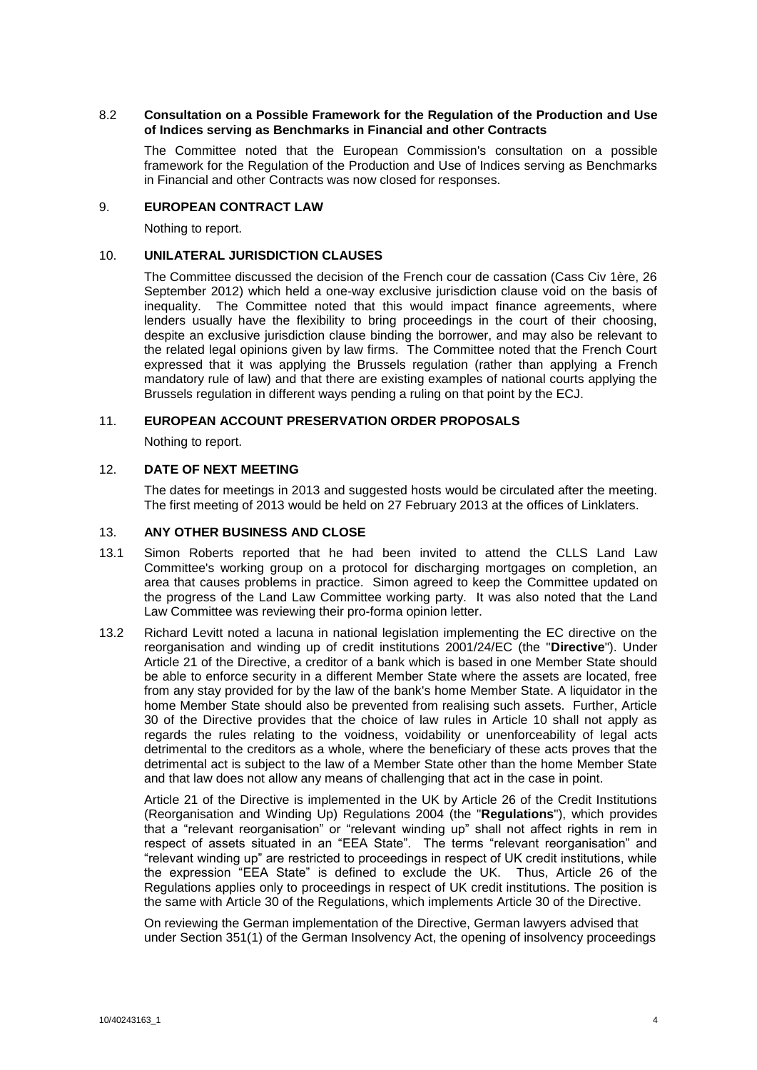### 8.2 **Consultation on a Possible Framework for the Regulation of the Production and Use of Indices serving as Benchmarks in Financial and other Contracts**

The Committee noted that the European Commission's consultation on a possible framework for the Regulation of the Production and Use of Indices serving as Benchmarks in Financial and other Contracts was now closed for responses.

# 9. **EUROPEAN CONTRACT LAW**

Nothing to report.

# 10. **UNILATERAL JURISDICTION CLAUSES**

The Committee discussed the decision of the French cour de cassation (Cass Civ 1ère, 26 September 2012) which held a one-way exclusive jurisdiction clause void on the basis of inequality. The Committee noted that this would impact finance agreements, where lenders usually have the flexibility to bring proceedings in the court of their choosing, despite an exclusive jurisdiction clause binding the borrower, and may also be relevant to the related legal opinions given by law firms. The Committee noted that the French Court expressed that it was applying the Brussels regulation (rather than applying a French mandatory rule of law) and that there are existing examples of national courts applying the Brussels regulation in different ways pending a ruling on that point by the ECJ.

# 11. **EUROPEAN ACCOUNT PRESERVATION ORDER PROPOSALS**

Nothing to report.

# 12. **DATE OF NEXT MEETING**

The dates for meetings in 2013 and suggested hosts would be circulated after the meeting. The first meeting of 2013 would be held on 27 February 2013 at the offices of Linklaters.

## 13. **ANY OTHER BUSINESS AND CLOSE**

- 13.1 Simon Roberts reported that he had been invited to attend the CLLS Land Law Committee's working group on a protocol for discharging mortgages on completion, an area that causes problems in practice. Simon agreed to keep the Committee updated on the progress of the Land Law Committee working party. It was also noted that the Land Law Committee was reviewing their pro-forma opinion letter.
- 13.2 Richard Levitt noted a lacuna in national legislation implementing the EC directive on the reorganisation and winding up of credit institutions 2001/24/EC (the "**Directive**"). Under Article 21 of the Directive, a creditor of a bank which is based in one Member State should be able to enforce security in a different Member State where the assets are located, free from any stay provided for by the law of the bank's home Member State. A liquidator in the home Member State should also be prevented from realising such assets. Further, Article 30 of the Directive provides that the choice of law rules in Article 10 shall not apply as regards the rules relating to the voidness, voidability or unenforceability of legal acts detrimental to the creditors as a whole, where the beneficiary of these acts proves that the detrimental act is subject to the law of a Member State other than the home Member State and that law does not allow any means of challenging that act in the case in point.

Article 21 of the Directive is implemented in the UK by Article 26 of the Credit Institutions (Reorganisation and Winding Up) Regulations 2004 (the "**Regulations**"), which provides that a "relevant reorganisation" or "relevant winding up" shall not affect rights in rem in respect of assets situated in an "EEA State". The terms "relevant reorganisation" and "relevant winding up" are restricted to proceedings in respect of UK credit institutions, while the expression "EEA State" is defined to exclude the UK. Thus, Article 26 of the Regulations applies only to proceedings in respect of UK credit institutions. The position is the same with Article 30 of the Regulations, which implements Article 30 of the Directive.

On reviewing the German implementation of the Directive, German lawyers advised that under Section 351(1) of the German Insolvency Act, the opening of insolvency proceedings